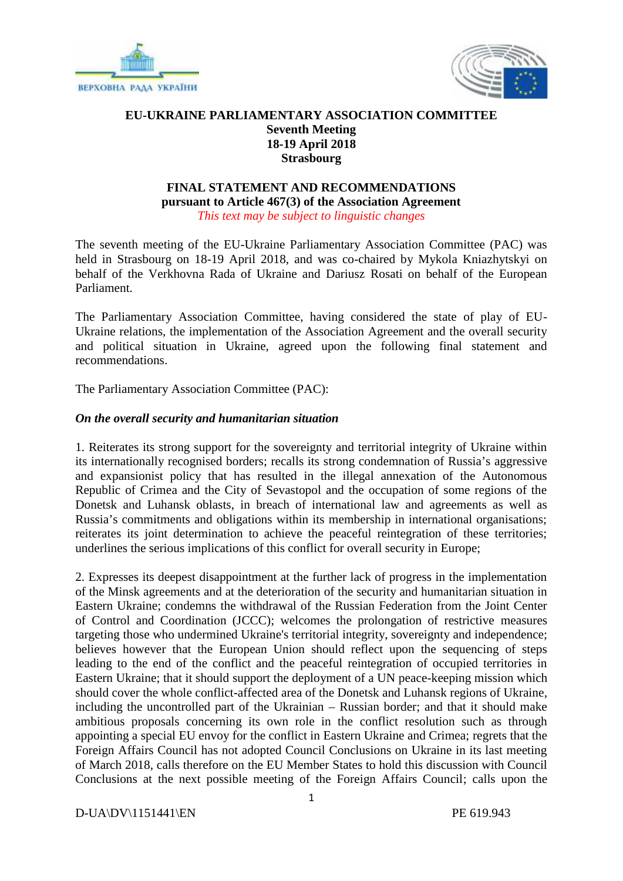



## **EU-UKRAINE PARLIAMENTARY ASSOCIATION COMMITTEE Seventh Meeting 18-19 April 2018 Strasbourg**

#### **FINAL STATEMENT AND RECOMMENDATIONS pursuant to Article 467(3) of the Association Agreement** *This text may be subject to linguistic changes*

The seventh meeting of the EU-Ukraine Parliamentary Association Committee (PAC) was held in Strasbourg on 18-19 April 2018, and was co-chaired by Mykola Kniazhytskyi on behalf of the Verkhovna Rada of Ukraine and Dariusz Rosati on behalf of the European Parliament.

The Parliamentary Association Committee, having considered the state of play of EU- Ukraine relations, the implementation of the Association Agreement and the overall security and political situation in Ukraine, agreed upon the following final statement and recommendations.

The Parliamentary Association Committee (PAC):

## *On the overall security and humanitarian situation*

1. Reiterates its strong support for the sovereignty and territorial integrity of Ukraine within its internationally recognised borders; recalls its strong condemnation of Russia's aggressive and expansionist policy that has resulted in the illegal annexation of the Autonomous Republic of Crimea and the City of Sevastopol and the occupation of some regions of the Donetsk and Luhansk oblasts, in breach of international law and agreements as well as Russia's commitments and obligations within its membership in international organisations; reiterates its joint determination to achieve the peaceful reintegration of these territories; underlines the serious implications of this conflict for overall security in Europe;

2. Expresses its deepest disappointment at the further lack of progress in the implementation of the Minsk agreements and at the deterioration of the security and humanitarian situation in Eastern Ukraine; condemns the withdrawal of the Russian Federation from the Joint Center of Control and Coordination (JCCC); welcomes the prolongation of restrictive measures targeting those who undermined Ukraine's territorial integrity, sovereignty and independence; believes however that the European Union should reflect upon the sequencing of steps leading to the end of the conflict and the peaceful reintegration of occupied territories in Eastern Ukraine; that it should support the deployment of a UN peace-keeping mission which should cover the whole conflict-affected area of the Donetsk and Luhansk regions of Ukraine, including the uncontrolled part of the Ukrainian – Russian border; and that it should make ambitious proposals concerning its own role in the conflict resolution such as through appointing a special EU envoy for the conflict in Eastern Ukraine and Crimea; regrets that the Foreign Affairs Council has not adopted Council Conclusions on Ukraine in its last meeting of March 2018, calls therefore on the EU Member States to hold this discussion with Council Conclusions at the next possible meeting of the Foreign Affairs Council; calls upon the

D-UA\DV\1151441\EN PE 619.943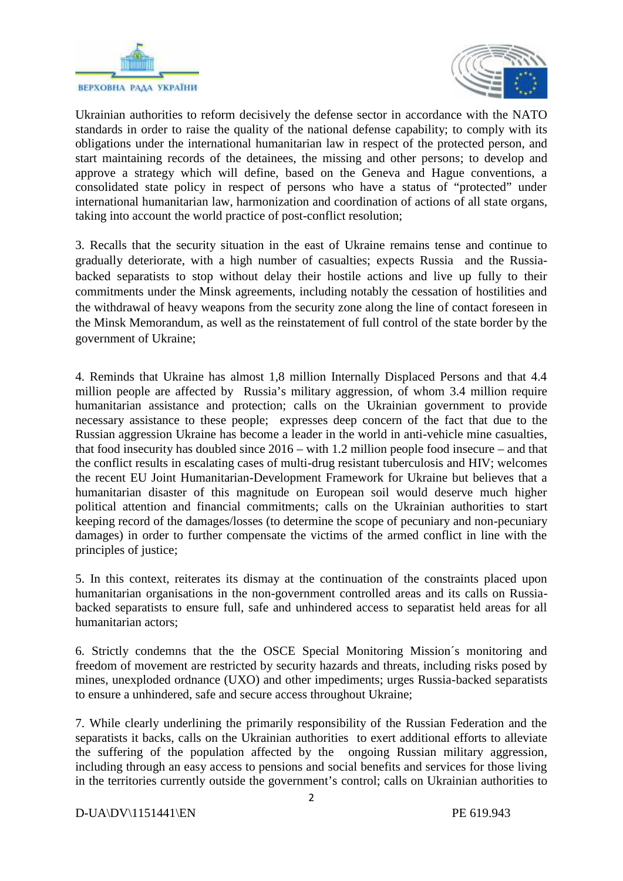



Ukrainian authorities to reform decisively the defense sector in accordance with the NATO standards in order to raise the quality of the national defense capability; to comply with its obligations under the international humanitarian law in respect of the protected person, and start maintaining records of the detainees, the missing and other persons; to develop and approve a strategy which will define, based on the Geneva and Hague conventions, a consolidated state policy in respect of persons who have a status of "protected" under international humanitarian law, harmonization and coordination of actions of all state organs, taking into account the world practice of post-conflict resolution;

3. Recalls that the security situation in the east of Ukraine remains tense and continue to gradually deteriorate, with a high number of casualties; expects Russia and the Russia backed separatists to stop without delay their hostile actions and live up fully to their commitments under the Minsk agreements, including notably the cessation of hostilities and the withdrawal of heavy weapons from the security zone along the line of contact foreseen in the Minsk Memorandum, as well as the reinstatement of full control of the state border by the government of Ukraine;

4. Reminds that Ukraine has almost 1,8 million Internally Displaced Persons and that 4.4 million people are affected by Russia's military aggression, of whom 3.4 million require humanitarian assistance and protection; calls on the Ukrainian government to provide necessary assistance to these people; expresses deep concern of the fact that due to the Russian aggression Ukraine has become a leader in the world in anti-vehicle mine casualties, that food insecurity has doubled since 2016 – with 1.2 million people food insecure – and that the conflict results in escalating cases of multi-drug resistant tuberculosis and HIV; welcomes the recent EU Joint Humanitarian-Development Framework for Ukraine but believes that a humanitarian disaster of this magnitude on European soil would deserve much higher political attention and financial commitments; calls on the Ukrainian authorities to start keeping record of the damages/losses (to determine the scope of pecuniary and non-pecuniary damages) in order to further compensate the victims of the armed conflict in line with the principles of justice;

5. In this context, reiterates its dismay at the continuation of the constraints placed upon humanitarian organisations in the non-government controlled areas and its calls on Russia backed separatists to ensure full, safe and unhindered access to separatist held areas for all humanitarian actors;

6. Strictly condemns that the the OSCE Special Monitoring Mission´s monitoring and freedom of movement are restricted by security hazards and threats, including risks posed by mines, unexploded ordnance (UXO) and other impediments; urges Russia-backed separatists to ensure a unhindered, safe and secure access throughout Ukraine;

7. While clearly underlining the primarily responsibility of the Russian Federation and the separatists it backs, calls on the Ukrainian authorities to exert additional efforts to alleviate the suffering of the population affected by the ongoing Russian military aggression, including through an easy access to pensions and social benefits and services for those living in the territories currently outside the government's control; calls on Ukrainian authorities to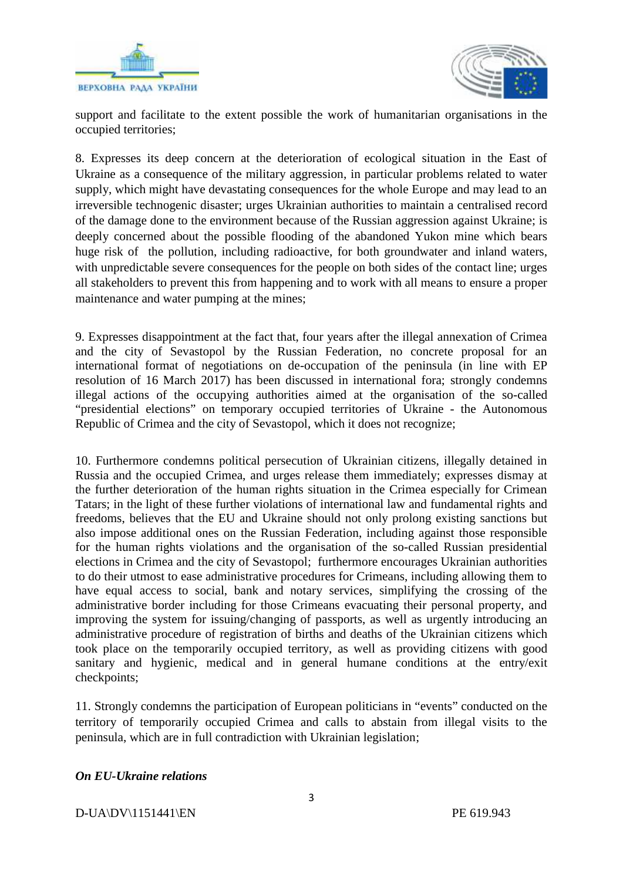



support and facilitate to the extent possible the work of humanitarian organisations in the occupied territories;

8. Expresses its deep concern at the deterioration of ecological situation in the East of Ukraine as a consequence of the military aggression, in particular problems related to water supply, which might have devastating consequences for the whole Europe and may lead to an irreversible technogenic disaster; urges Ukrainian authorities to maintain a centralised record of the damage done to the environment because of the Russian aggression against Ukraine; is deeply concerned about the possible flooding of the abandoned Yukon mine which bears huge risk of the pollution, including radioactive, for both groundwater and inland waters, with unpredictable severe consequences for the people on both sides of the contact line; urges all stakeholders to prevent this from happening and to work with all means to ensure a proper maintenance and water pumping at the mines;

9. Expresses disappointment at the fact that, four years after the illegal annexation of Crimea and the city of Sevastopol by the Russian Federation, no concrete proposal for an international format of negotiations on de-occupation of the peninsula (in line with EP resolution of 16 March 2017) has been discussed in international fora; strongly condemns illegal actions of the occupying authorities aimed at the organisation of the so-called "presidential elections" on temporary occupied territories of Ukraine - the Autonomous Republic of Crimea and the city of Sevastopol, which it does not recognize;

10. Furthermore condemns political persecution of Ukrainian citizens, illegally detained in Russia and the occupied Crimea, and urges release them immediately; expresses dismay at the further deterioration of the human rights situation in the Crimea especially for Crimean Tatars; in the light of these further violations of international law and fundamental rights and freedoms, believes that the EU and Ukraine should not only prolong existing sanctions but also impose additional ones on the Russian Federation, including against those responsible for the human rights violations and the organisation of the so-called Russian presidential elections in Crimea and the city of Sevastopol; furthermore encourages Ukrainian authorities to do their utmost to ease administrative procedures for Crimeans, including allowing them to have equal access to social, bank and notary services, simplifying the crossing of the administrative border including for those Crimeans evacuating their personal property, and improving the system for issuing/changing of passports, as well as urgently introducing an administrative procedure of registration of births and deaths of the Ukrainian citizens which took place on the temporarily occupied territory, as well as providing citizens with good sanitary and hygienic, medical and in general humane conditions at the entry/exit checkpoints;

11. Strongly condemns the participation of European politicians in "events" conducted on the territory of temporarily occupied Crimea and calls to abstain from illegal visits to the peninsula, which are in full contradiction with Ukrainian legislation;

# *On EU-Ukraine relations*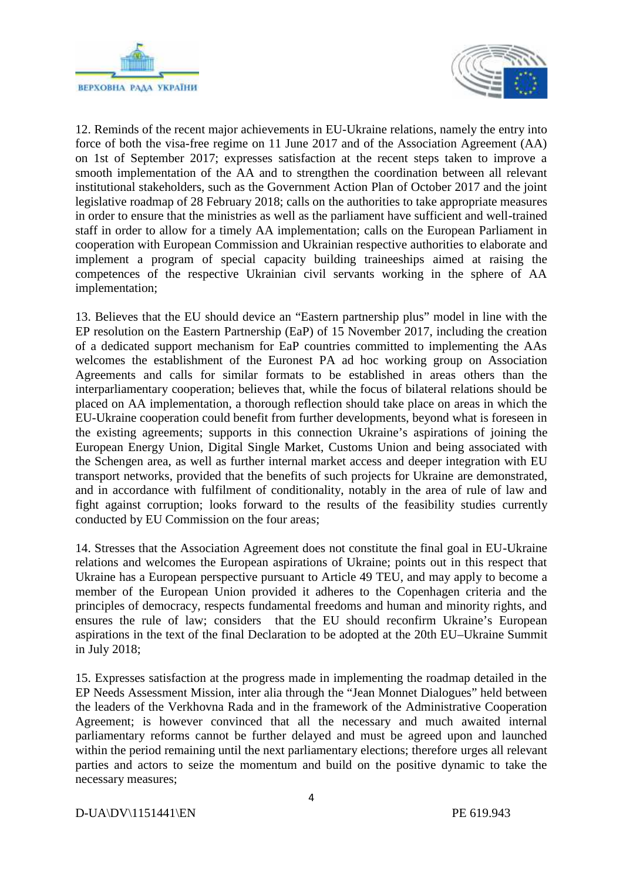



12. Reminds of the recent major achievements in EU-Ukraine relations, namely the entry into force of both the visa-free regime on 11 June 2017 and of the Association Agreement (AA) on 1st of September 2017; expresses satisfaction at the recent steps taken to improve a smooth implementation of the AA and to strengthen the coordination between all relevant institutional stakeholders, such as the Government Action Plan of October 2017 and the joint legislative roadmap of 28 February 2018; calls on the authorities to take appropriate measures in order to ensure that the ministries as well as the parliament have sufficient and well-trained staff in order to allow for a timely AA implementation; calls on the European Parliament in cooperation with European Commission and Ukrainian respective authorities to elaborate and implement a program of special capacity building traineeships aimed at raising the competences of the respective Ukrainian civil servants working in the sphere of AA implementation;

13. Believes that the EU should device an "Eastern partnership plus" model in line with the EP resolution on the Eastern Partnership (EaP) of 15 November 2017, including the creation of a dedicated support mechanism for EaP countries committed to implementing the AAs welcomes the establishment of the Euronest PA ad hoc working group on Association Agreements and calls for similar formats to be established in areas others than the interparliamentary cooperation; believes that, while the focus of bilateral relations should be placed on AA implementation, a thorough reflection should take place on areas in which the EU-Ukraine cooperation could benefit from further developments, beyond what is foreseen in the existing agreements; supports in this connection Ukraine's aspirations of joining the European Energy Union, Digital Single Market, Customs Union and being associated with the Schengen area, as well as further internal market access and deeper integration with EU transport networks, provided that the benefits of such projects for Ukraine are demonstrated, and in accordance with fulfilment of conditionality, notably in the area of rule of law and fight against corruption; looks forward to the results of the feasibility studies currently conducted by EU Commission on the four areas;

14. Stresses that the Association Agreement does not constitute the final goal in EU-Ukraine relations and welcomes the European aspirations of Ukraine; points out in this respect that Ukraine has a European perspective pursuant to Article 49 TEU, and may apply to become a member of the European Union provided it adheres to the Copenhagen criteria and the principles of democracy, respects fundamental freedoms and human and minority rights, and ensures the rule of law; considers that the EU should reconfirm Ukraine's European aspirations in the text of the final Declaration to be adopted at the 20th EU–Ukraine Summit in July 2018;

15. Expresses satisfaction at the progress made in implementing the roadmap detailed in the EP Needs Assessment Mission, inter alia through the "Jean Monnet Dialogues" held between the leaders of the Verkhovna Rada and in the framework of the Administrative Cooperation Agreement; is however convinced that all the necessary and much awaited internal parliamentary reforms cannot be further delayed and must be agreed upon and launched within the period remaining until the next parliamentary elections; therefore urges all relevant parties and actors to seize the momentum and build on the positive dynamic to take the necessary measures;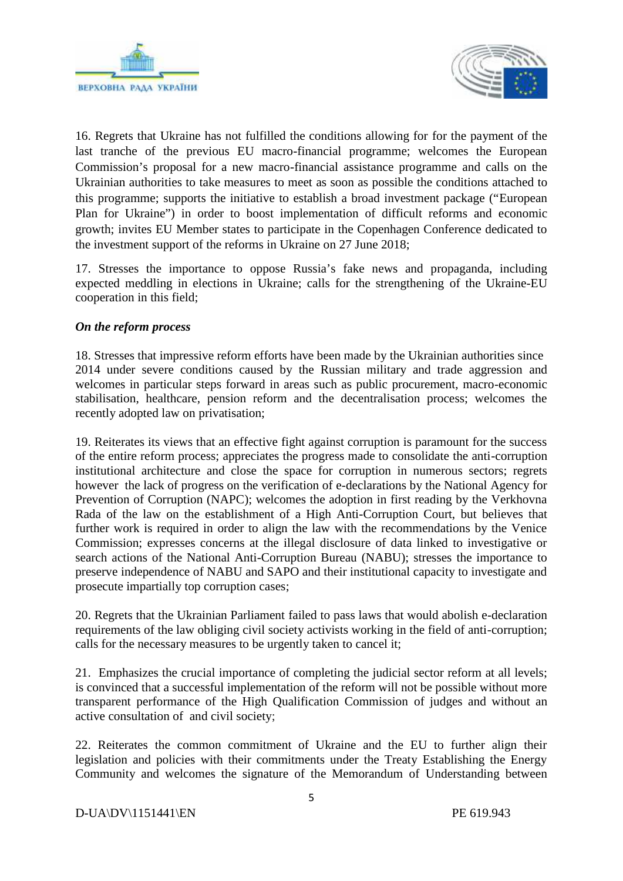



16. Regrets that Ukraine has not fulfilled the conditions allowing for for the payment of the last tranche of the previous EU macro-financial programme; welcomes the European Commission's proposal for a new macro-financial assistance programme and calls on the Ukrainian authorities to take measures to meet as soon as possible the conditions attached to this programme; supports the initiative to establish a broad investment package ("European Plan for Ukraine") in order to boost implementation of difficult reforms and economic growth; invites EU Member states to participate in the Copenhagen Conference dedicated to the investment support of the reforms in Ukraine on 27 June 2018;

17. Stresses the importance to oppose Russia's fake news and propaganda, including expected meddling in elections in Ukraine; calls for the strengthening of the Ukraine-EU cooperation in this field;

## *On the reform process*

18. Stresses that impressive reform efforts have been made by the Ukrainian authorities since 2014 under severe conditions caused by the Russian military and trade aggression and welcomes in particular steps forward in areas such as public procurement, macro-economic stabilisation, healthcare, pension reform and the decentralisation process; welcomes the recently adopted law on privatisation;

19. Reiterates its views that an effective fight against corruption is paramount for the success of the entire reform process; appreciates the progress made to consolidate the anti-corruption institutional architecture and close the space for corruption in numerous sectors; regrets however the lack of progress on the verification of e-declarations by the National Agency for Prevention of Corruption (NAPC); welcomes the adoption in first reading by the Verkhovna Rada of the law on the establishment of a High Anti-Corruption Court, but believes that further work is required in order to align the law with the recommendations by the Venice Commission; expresses concerns at the illegal disclosure of data linked to investigative or search actions of the National Anti-Corruption Bureau (NABU); stresses the importance to preserve independence of NABU and SAPO and their institutional capacity to investigate and prosecute impartially top corruption cases;

20. Regrets that the Ukrainian Parliament failed to pass laws that would abolish e-declaration requirements of the law obliging civil society activists working in the field of anti-corruption; calls for the necessary measures to be urgently taken to cancel it;

21. Emphasizes the crucial importance of completing the judicial sector reform at all levels; is convinced that a successful implementation of the reform will not be possible without more transparent performance of the High Qualification Commission of judges and without an active consultation of and civil society;

22. Reiterates the common commitment of Ukraine and the EU to further align their legislation and policies with their commitments under the Treaty Establishing the Energy Community and welcomes the signature of the Memorandum of Understanding between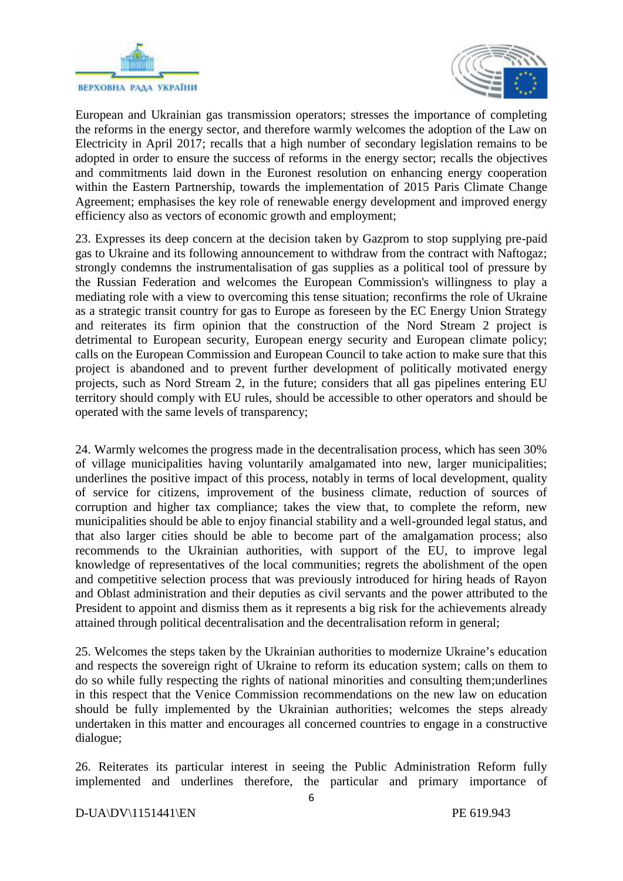



European and Ukrainian gas transmission operators; stresses the importance of completing the reforms in the energy sector, and therefore warmly welcomes the adoption of the Law on Electricity in April 2017; recalls that a high number of secondary legislation remains to be adopted in order to ensure the success of reforms in the energy sector; recalls the objectives and commitments laid down in the Euronest resolution on enhancing energy cooperation within the Eastern Partnership, towards the implementation of 2015 Paris Climate Change Agreement; emphasises the key role of renewable energy development and improved energy efficiency also as vectors of economic growth and employment;

23. Expresses its deep concern at the decision taken by Gazprom to stop supplying pre-paid gas to Ukraine and its following announcement to withdraw from the contract with Naftogaz; strongly condemns the instrumentalisation of gas supplies as a political tool of pressure by the Russian Federation and welcomes the European Commission's willingness to play a mediating role with a view to overcoming this tense situation; reconfirms the role of Ukraine as a strategic transit country for gas to Europe as foreseen by the EC Energy Union Strategy and reiterates its firm opinion that the construction of the Nord Stream 2 project is detrimental to European security, European energy security and European climate policy; calls on the European Commission and European Council to take action to make sure that this project is abandoned and to prevent further development of politically motivated energy projects, such as Nord Stream 2, in the future; considers that all gas pipelines entering EU territory should comply with EU rules, should be accessible to other operators and should be operated with the same levels of transparency;

24. Warmly welcomes the progress made in the decentralisation process, which has seen 30% of village municipalities having voluntarily amalgamated into new, larger municipalities; underlines the positive impact of this process, notably in terms of local development, quality of service for citizens, improvement of the business climate, reduction of sources of corruption and higher tax compliance; takes the view that, to complete the reform, new municipalities should be able to enjoy financial stability and a well-grounded legal status, and that also larger cities should be able to become part of the amalgamation process; also recommends to the Ukrainian authorities, with support of the EU, to improve legal knowledge of representatives of the local communities; regrets the abolishment of the open and competitive selection process that was previously introduced for hiring heads of Rayon and Oblast administration and their deputies as civil servants and the power attributed to the President to appoint and dismiss them as it represents a big risk for the achievements already attained through political decentralisation and the decentralisation reform in general;

25. Welcomes the steps taken by the Ukrainian authorities to modernize Ukraine's education and respects the sovereign right of Ukraine to reform its education system; calls on them to do so while fully respecting the rights of national minorities and consulting them;underlines in this respect that the Venice Commission recommendations on the new law on education should be fully implemented by the Ukrainian authorities; welcomes the steps already undertaken in this matter and encourages all concerned countries to engage in a constructive dialogue;

26. Reiterates its particular interest in seeing the Public Administration Reform fully implemented and underlines therefore, the particular and primary importance of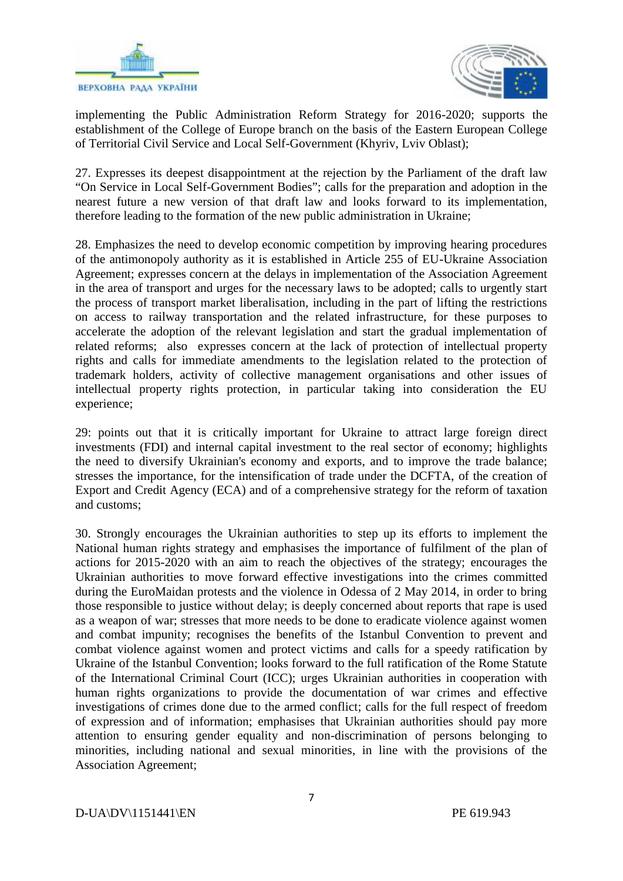



implementing the Public Administration Reform Strategy for 2016-2020; supports the establishment of the College of Europe branch on the basis of the Eastern European College of Territorial Civil Service and Local Self-Government (Khyriv, Lviv Oblast);

27. Expresses its deepest disappointment at the rejection by the Parliament of the draft law "On Service in Local Self-Government Bodies"; calls for the preparation and adoption in the nearest future a new version of that draft law and looks forward to its implementation, therefore leading to the formation of the new public administration in Ukraine;

28. Emphasizes the need to develop economic competition by improving hearing procedures of the antimonopoly authority as it is established in Article 255 of EU-Ukraine Association Agreement; expresses concern at the delays in implementation of the Association Agreement in the area of transport and urges for the necessary laws to be adopted; calls to urgently start the process of transport market liberalisation, including in the part of lifting the restrictions on access to railway transportation and the related infrastructure, for these purposes to accelerate the adoption of the relevant legislation and start the gradual implementation of related reforms; also expresses concern at the lack of protection of intellectual property rights and calls for immediate amendments to the legislation related to the protection of trademark holders, activity of collective management organisations and other issues of intellectual property rights protection, in particular taking into consideration the EU experience;

29: points out that it is critically important for Ukraine to attract large foreign direct investments (FDI) and internal capital investment to the real sector of economy; highlights the need to diversify Ukrainian's economy and exports, and to improve the trade balance; stresses the importance, for the intensification of trade under the DCFTA, of the creation of Export and Credit Agency (ECA) and of a comprehensive strategy for the reform of taxation and customs;

30. Strongly encourages the Ukrainian authorities to step up its efforts to implement the National human rights strategy and emphasises the importance of fulfilment of the plan of actions for 2015-2020 with an aim to reach the objectives of the strategy; encourages the Ukrainian authorities to move forward effective investigations into the crimes committed during the EuroMaidan protests and the violence in Odessa of 2 May 2014, in order to bring those responsible to justice without delay; is deeply concerned about reports that rape is used as a weapon of war; stresses that more needs to be done to eradicate violence against women and combat impunity; recognises the benefits of the Istanbul Convention to prevent and combat violence against women and protect victims and calls for a speedy ratification by Ukraine of the Istanbul Convention; looks forward to the full ratification of the Rome Statute of the International Criminal Court (ICC); urges Ukrainian authorities in cooperation with human rights organizations to provide the documentation of war crimes and effective investigations of crimes done due to the armed conflict; calls for the full respect of freedom of expression and of information; emphasises that Ukrainian authorities should pay more attention to ensuring gender equality and non-discrimination of persons belonging to minorities, including national and sexual minorities, in line with the provisions of the Association Agreement;